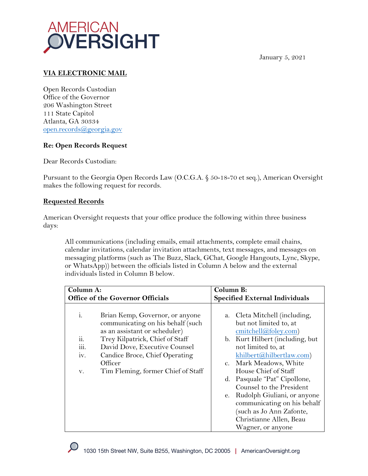



## **VIA ELECTRONIC MAIL**

Open Records Custodian Office of the Governor 206 Washington Street 111 State Capitol Atlanta, GA 30334 open.records@georgia.gov

## **Re: Open Records Request**

Dear Records Custodian:

Pursuant to the Georgia Open Records Law (O.C.G.A. § 50-18-70 et seq.), American Oversight makes the following request for records.

## **Requested Records**

American Oversight requests that your office produce the following within three business days:

All communications (including emails, email attachments, complete email chains, calendar invitations, calendar invitation attachments, text messages, and messages on messaging platforms (such as The Buzz, Slack, GChat, Google Hangouts, Lync, Skype, or WhatsApp)) between the officials listed in Column A below and the external individuals listed in Column B below.

| Column A:                        |                                                                                                       | Column B:                             |                                                                                                                                       |
|----------------------------------|-------------------------------------------------------------------------------------------------------|---------------------------------------|---------------------------------------------------------------------------------------------------------------------------------------|
| Office of the Governor Officials |                                                                                                       | <b>Specified External Individuals</b> |                                                                                                                                       |
| $\mathbf{i}$ .                   | Brian Kemp, Governor, or anyone<br>communicating on his behalf (such<br>as an assistant or scheduler) |                                       | a. Cleta Mitchell (including,<br>but not limited to, at<br>emitchell@foley.com)                                                       |
| 11.                              | Trey Kilpatrick, Chief of Staff                                                                       |                                       | b. Kurt Hilbert (including, but                                                                                                       |
| III.                             | David Dove, Executive Counsel                                                                         |                                       | not limited to, at                                                                                                                    |
| iv.                              | Candice Broce, Chief Operating                                                                        |                                       | khilbert@hilbertlaw.com)                                                                                                              |
|                                  | Officer                                                                                               |                                       | c. Mark Meadows, White                                                                                                                |
| V.                               | Tim Fleming, former Chief of Staff                                                                    |                                       | House Chief of Staff                                                                                                                  |
|                                  |                                                                                                       |                                       | d. Pasquale "Pat" Cipollone,                                                                                                          |
|                                  |                                                                                                       |                                       | Counsel to the President                                                                                                              |
|                                  |                                                                                                       | e.                                    | Rudolph Giuliani, or anyone<br>communicating on his behalf<br>such as Jo Ann Zafonte,<br>Christianne Allen, Beau<br>Wagner, or anyone |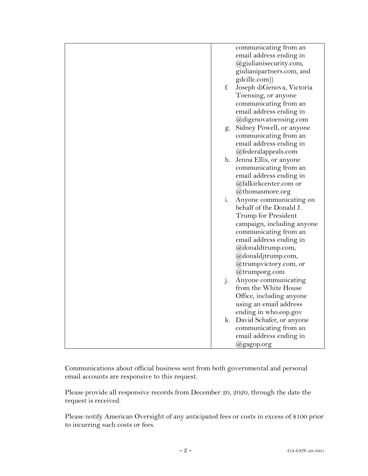|                | communicating from an<br>email address ending in |
|----------------|--------------------------------------------------|
|                | @giulianisecurity.com,                           |
|                | giulianipartners.com, and                        |
|                | gdcillc.com))                                    |
| f.             |                                                  |
|                | Joseph diGenova, Victoria<br>Toensing, or anyone |
|                |                                                  |
|                | communicating from an                            |
|                | email address ending in                          |
|                | @digenovatoensing.com                            |
| g.             | Sidney Powell, or anyone                         |
|                | communicating from an                            |
|                | email address ending in                          |
|                | @federalappeals.com                              |
|                | h. Jenna Ellis, or anyone                        |
|                | communicating from an                            |
|                | email address ending in                          |
|                | @falkirkcenter.com or                            |
|                | @thomasmore.org                                  |
| $i$ .          | Anyone communicating on                          |
|                | behalf of the Donald J.                          |
|                | Trump for President                              |
|                | campaign, including anyone                       |
|                | communicating from an                            |
|                | email address ending in                          |
|                | @donaldtrump.com,                                |
|                | @donaldjtrump.com,                               |
|                | @trumpvictory.com, or                            |
|                | @trumporg.com                                    |
| j <sub>1</sub> | Anyone communicating                             |
|                | from the White House                             |
|                | Office, including anyone                         |
|                | using an email address                           |
|                | ending in who.eop.gov                            |
|                | k. David Schafer, or anyone                      |
|                | communicating from an                            |
|                | email address ending in                          |
|                | @gagop.org                                       |

Communications about official business sent from both governmental and personal email accounts are responsive to this request.

Please provide all responsive records from December 20, 2020, through the date the request is received.

Please notify American Oversight of any anticipated fees or costs in excess of \$100 prior to incurring such costs or fees.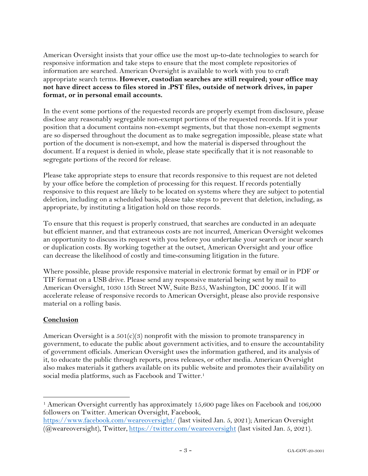American Oversight insists that your office use the most up-to-date technologies to search for responsive information and take steps to ensure that the most complete repositories of information are searched. American Oversight is available to work with you to craft appropriate search terms. **However, custodian searches are still required; your office may not have direct access to files stored in .PST files, outside of network drives, in paper format, or in personal email accounts.**

In the event some portions of the requested records are properly exempt from disclosure, please disclose any reasonably segregable non-exempt portions of the requested records. If it is your position that a document contains non-exempt segments, but that those non-exempt segments are so dispersed throughout the document as to make segregation impossible, please state what portion of the document is non-exempt, and how the material is dispersed throughout the document. If a request is denied in whole, please state specifically that it is not reasonable to segregate portions of the record for release.

Please take appropriate steps to ensure that records responsive to this request are not deleted by your office before the completion of processing for this request. If records potentially responsive to this request are likely to be located on systems where they are subject to potential deletion, including on a scheduled basis, please take steps to prevent that deletion, including, as appropriate, by instituting a litigation hold on those records.

To ensure that this request is properly construed, that searches are conducted in an adequate but efficient manner, and that extraneous costs are not incurred, American Oversight welcomes an opportunity to discuss its request with you before you undertake your search or incur search or duplication costs. By working together at the outset, American Oversight and your office can decrease the likelihood of costly and time-consuming litigation in the future.

Where possible, please provide responsive material in electronic format by email or in PDF or TIF format on a USB drive. Please send any responsive material being sent by mail to American Oversight, 1030 15th Street NW, Suite B255, Washington, DC 20005. If it will accelerate release of responsive records to American Oversight, please also provide responsive material on a rolling basis.

## **Conclusion**

American Oversight is a  $501(c)(3)$  nonprofit with the mission to promote transparency in government, to educate the public about government activities, and to ensure the accountability of government officials. American Oversight uses the information gathered, and its analysis of it, to educate the public through reports, press releases, or other media. American Oversight also makes materials it gathers available on its public website and promotes their availability on social media platforms, such as Facebook and Twitter.<sup>1</sup>

<sup>1</sup> American Oversight currently has approximately 15,600 page likes on Facebook and 106,000 followers on Twitter. American Oversight, Facebook,

https://www.facebook.com/weareoversight/ (last visited Jan. 5, 2021); American Oversight (@weareoversight), Twitter, https://twitter.com/weareoversight (last visited Jan. 5, 2021).